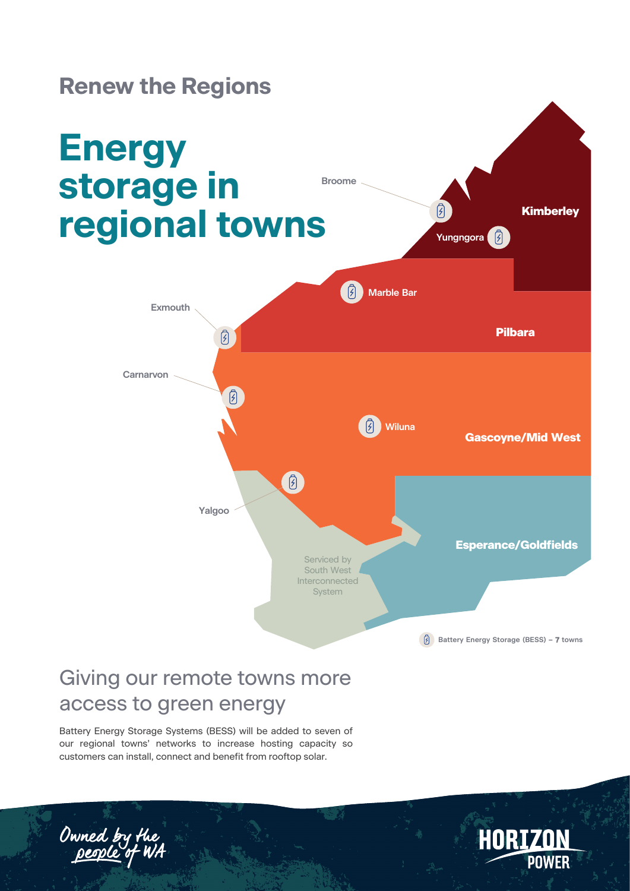

### Giving our remote towns more access to green energy

Battery Energy Storage Systems (BESS) will be added to seven of our regional towns' networks to increase hosting capacity so customers can install, connect and benefit from rooftop solar.